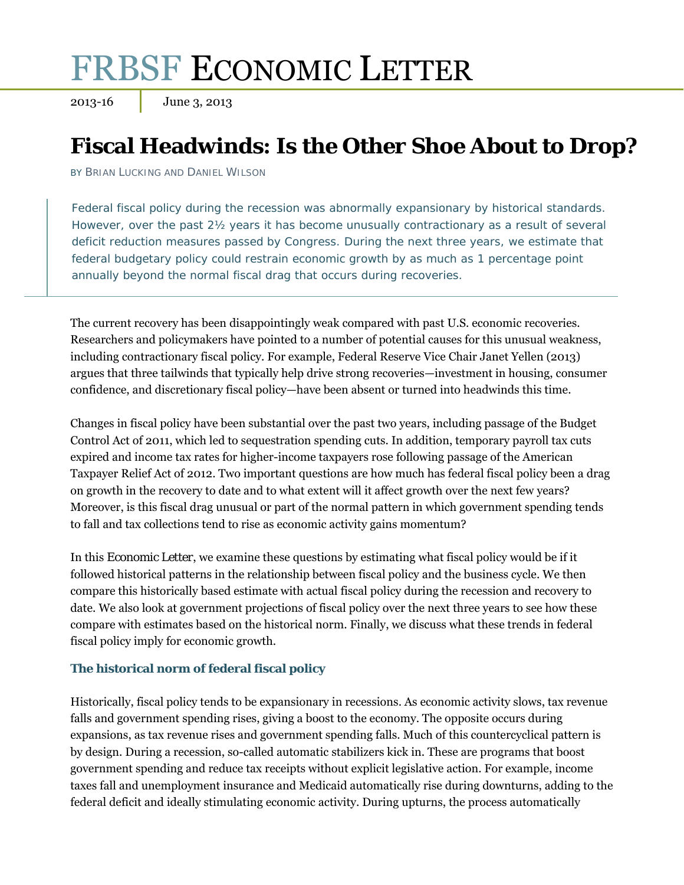# FRBSF ECONOMIC LETTER

2013-16 June 3, 2013

# **Fiscal Headwinds: Is the Other Shoe About to Drop?**

BY BRIAN LUCKING AND DANIEL WILSON

Federal fiscal policy during the recession was abnormally expansionary by historical standards. However, over the past 2½ years it has become unusually contractionary as a result of several deficit reduction measures passed by Congress. During the next three years, we estimate that federal budgetary policy could restrain economic growth by as much as 1 percentage point annually beyond the normal fiscal drag that occurs during recoveries.

The current recovery has been disappointingly weak compared with past U.S. economic recoveries. Researchers and policymakers have pointed to a number of potential causes for this unusual weakness, including contractionary fiscal policy. For example, Federal Reserve Vice Chair Janet Yellen (2013) argues that three tailwinds that typically help drive strong recoveries—investment in housing, consumer confidence, and discretionary fiscal policy—have been absent or turned into headwinds this time.

Changes in fiscal policy have been substantial over the past two years, including passage of the Budget Control Act of 2011, which led to sequestration spending cuts. In addition, temporary payroll tax cuts expired and income tax rates for higher-income taxpayers rose following passage of the American Taxpayer Relief Act of 2012. Two important questions are how much has federal fiscal policy been a drag on growth in the recovery to date and to what extent will it affect growth over the next few years? Moreover, is this fiscal drag unusual or part of the normal pattern in which government spending tends to fall and tax collections tend to rise as economic activity gains momentum?

In this *Economic Letter*, we examine these questions by estimating what fiscal policy would be if it followed historical patterns in the relationship between fiscal policy and the business cycle. We then compare this historically based estimate with actual fiscal policy during the recession and recovery to date. We also look at government projections of fiscal policy over the next three years to see how these compare with estimates based on the historical norm. Finally, we discuss what these trends in federal fiscal policy imply for economic growth.

# **The historical norm of federal fiscal policy**

Historically, fiscal policy tends to be expansionary in recessions. As economic activity slows, tax revenue falls and government spending rises, giving a boost to the economy. The opposite occurs during expansions, as tax revenue rises and government spending falls. Much of this countercyclical pattern is by design. During a recession, so-called automatic stabilizers kick in. These are programs that boost government spending and reduce tax receipts without explicit legislative action. For example, income taxes fall and unemployment insurance and Medicaid automatically rise during downturns, adding to the federal deficit and ideally stimulating economic activity. During upturns, the process automatically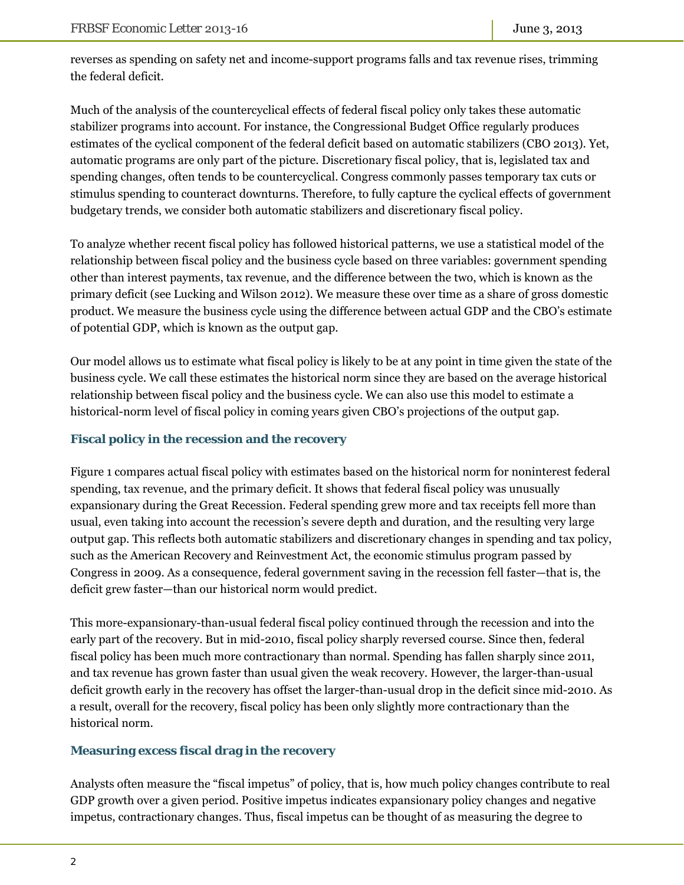reverses as spending on safety net and income-support programs falls and tax revenue rises, trimming the federal deficit.

Much of the analysis of the countercyclical effects of federal fiscal policy only takes these automatic stabilizer programs into account. For instance, the Congressional Budget Office regularly produces estimates of the cyclical component of the federal deficit based on automatic stabilizers (CBO 2013). Yet, automatic programs are only part of the picture. Discretionary fiscal policy, that is, legislated tax and spending changes, often tends to be countercyclical. Congress commonly passes temporary tax cuts or stimulus spending to counteract downturns. Therefore, to fully capture the cyclical effects of government budgetary trends, we consider both automatic stabilizers and discretionary fiscal policy.

To analyze whether recent fiscal policy has followed historical patterns, we use a statistical model of the relationship between fiscal policy and the business cycle based on three variables: government spending other than interest payments, tax revenue, and the difference between the two, which is known as the primary deficit (see Lucking and Wilson 2012). We measure these over time as a share of gross domestic product. We measure the business cycle using the difference between actual GDP and the CBO's estimate of potential GDP, which is known as the output gap.

Our model allows us to estimate what fiscal policy is likely to be at any point in time given the state of the business cycle. We call these estimates the historical norm since they are based on the average historical relationship between fiscal policy and the business cycle. We can also use this model to estimate a historical-norm level of fiscal policy in coming years given CBO's projections of the output gap.

## **Fiscal policy in the recession and the recovery**

Figure 1 compares actual fiscal policy with estimates based on the historical norm for noninterest federal spending, tax revenue, and the primary deficit. It shows that federal fiscal policy was unusually expansionary during the Great Recession. Federal spending grew more and tax receipts fell more than usual, even taking into account the recession's severe depth and duration, and the resulting very large output gap. This reflects both automatic stabilizers and discretionary changes in spending and tax policy, such as the American Recovery and Reinvestment Act, the economic stimulus program passed by Congress in 2009. As a consequence, federal government saving in the recession fell faster—that is, the deficit grew faster—than our historical norm would predict.

This more-expansionary-than-usual federal fiscal policy continued through the recession and into the early part of the recovery. But in mid-2010, fiscal policy sharply reversed course. Since then, federal fiscal policy has been much more contractionary than normal. Spending has fallen sharply since 2011, and tax revenue has grown faster than usual given the weak recovery. However, the larger-than-usual deficit growth early in the recovery has offset the larger-than-usual drop in the deficit since mid-2010. As a result, overall for the recovery, fiscal policy has been only slightly more contractionary than the historical norm.

#### **Measuring excess fiscal drag in the recovery**

Analysts often measure the "fiscal impetus" of policy, that is, how much policy changes contribute to real GDP growth over a given period. Positive impetus indicates expansionary policy changes and negative impetus, contractionary changes. Thus, fiscal impetus can be thought of as measuring the degree to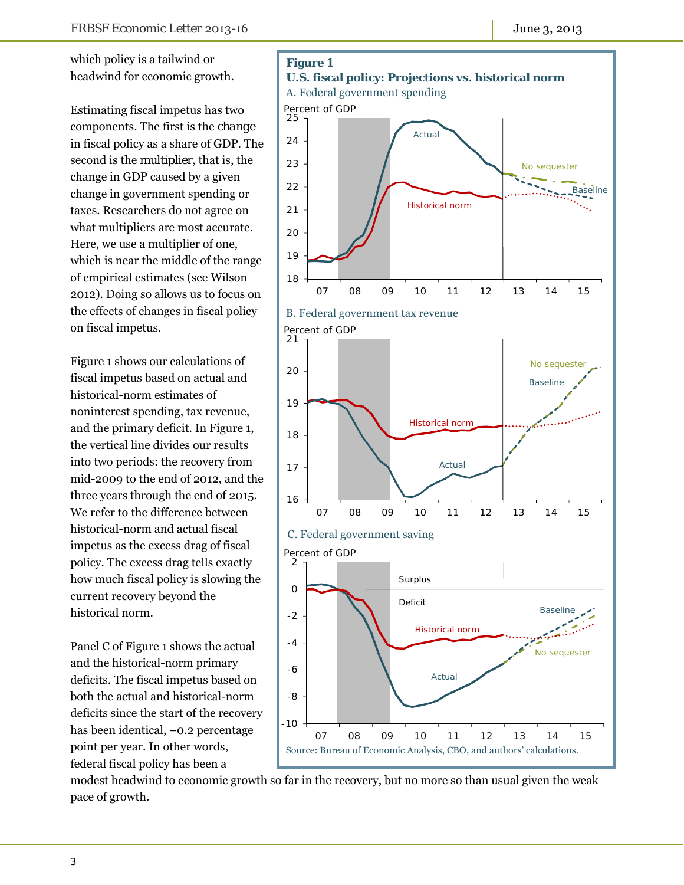which policy is a tailwind or headwind for economic growth.

Estimating fiscal impetus has two components. The first is the *change* in fiscal policy as a share of GDP. The second is the *multiplier*, that is, the change in GDP caused by a given change in government spending or taxes. Researchers do not agree on what multipliers are most accurate. Here, we use a multiplier of one, which is near the middle of the range of empirical estimates (see Wilson 2012). Doing so allows us to focus on the effects of changes in fiscal policy on fiscal impetus.

Figure 1 shows our calculations of fiscal impetus based on actual and historical-norm estimates of noninterest spending, tax revenue, and the primary deficit. In Figure 1, the vertical line divides our results into two periods: the recovery from mid-2009 to the end of 2012, and the three years through the end of 2015. We refer to the difference between historical-norm and actual fiscal impetus as the excess drag of fiscal policy. The excess drag tells exactly how much fiscal policy is slowing the current recovery beyond the historical norm.

Panel C of Figure 1 shows the actual and the historical-norm primary deficits. The fiscal impetus based on both the actual and historical-norm deficits since the start of the recovery has been identical, −0.2 percentage point per year. In other words, federal fiscal policy has been a



modest headwind to economic growth so far in the recovery, but no more so than usual given the weak pace of growth.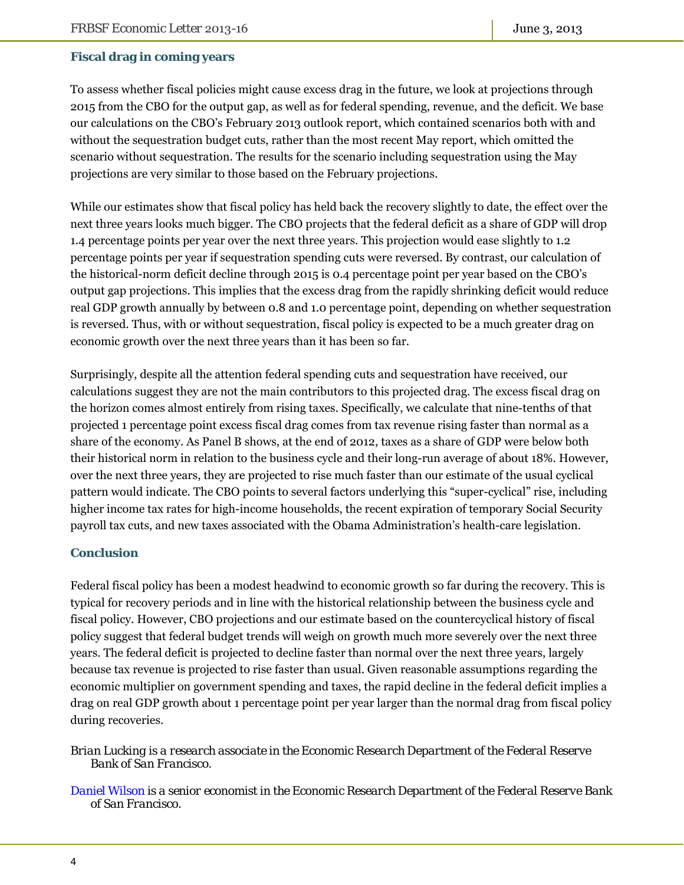#### **Fiscal drag in coming years**

To assess whether fiscal policies might cause excess drag in the future, we look at projections through 2015 from the CBO for the output gap, as well as for federal spending, revenue, and the deficit. We base our calculations on the CBO's February 2013 outlook report, which contained scenarios both with and without the sequestration budget cuts, rather than the most recent May report, which omitted the scenario without sequestration. The results for the scenario including sequestration using the May projections are very similar to those based on the February projections.

While our estimates show that fiscal policy has held back the recovery slightly to date, the effect over the next three years looks much bigger. The CBO projects that the federal deficit as a share of GDP will drop 1.4 percentage points per year over the next three years. This projection would ease slightly to 1.2 percentage points per year if sequestration spending cuts were reversed. By contrast, our calculation of the historical-norm deficit decline through 2015 is 0.4 percentage point per year based on the CBO's output gap projections. This implies that the excess drag from the rapidly shrinking deficit would reduce real GDP growth annually by between 0.8 and 1.0 percentage point, depending on whether sequestration is reversed. Thus, with or without sequestration, fiscal policy is expected to be a much greater drag on economic growth over the next three years than it has been so far.

Surprisingly, despite all the attention federal spending cuts and sequestration have received, our calculations suggest they are not the main contributors to this projected drag. The excess fiscal drag on the horizon comes almost entirely from rising taxes. Specifically, we calculate that nine-tenths of that projected 1 percentage point excess fiscal drag comes from tax revenue rising faster than normal as a share of the economy. As Panel B shows, at the end of 2012, taxes as a share of GDP were below both their historical norm in relation to the business cycle and their long-run average of about 18%. However, over the next three years, they are projected to rise much faster than our estimate of the usual cyclical pattern would indicate. The CBO points to several factors underlying this "super-cyclical" rise, including higher income tax rates for high-income households, the recent expiration of temporary Social Security payroll tax cuts, and new taxes associated with the Obama Administration's health-care legislation.

#### **Conclusion**

Federal fiscal policy has been a modest headwind to economic growth so far during the recovery. This is typical for recovery periods and in line with the historical relationship between the business cycle and fiscal policy. However, CBO projections and our estimate based on the countercyclical history of fiscal policy suggest that federal budget trends will weigh on growth much more severely over the next three years. The federal deficit is projected to decline faster than normal over the next three years, largely because tax revenue is projected to rise faster than usual. Given reasonable assumptions regarding the economic multiplier on government spending and taxes, the rapid decline in the federal deficit implies a drag on real GDP growth about 1 percentage point per year larger than the normal drag from fiscal policy during recoveries.

*Brian Lucking is a research associate in the Economic Research Department of the Federal Reserve Bank of San Francisco.* 

*[Daniel Wilson i](http://www.frbsf.org/economics/economists/staff.php?dwilson)s a senior economist in the Economic Research Department of the Federal Reserve Bank of San Francisco.*